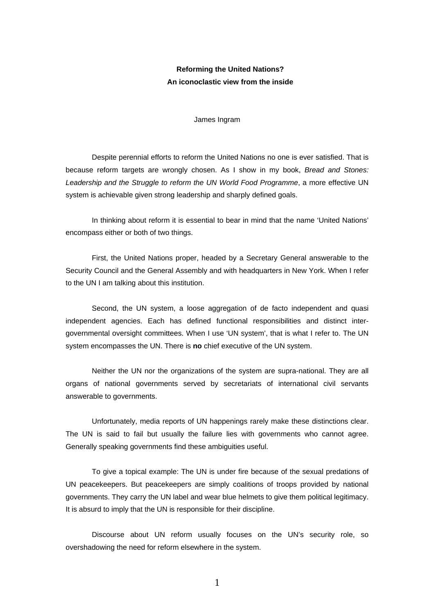## **Reforming the United Nations? An iconoclastic view from the inside**

James Ingram

Despite perennial efforts to reform the United Nations no one is ever satisfied. That is because reform targets are wrongly chosen. As I show in my book, *Bread and Stones: Leadership and the Struggle to reform the UN World Food Programme*, a more effective UN system is achievable given strong leadership and sharply defined goals.

In thinking about reform it is essential to bear in mind that the name 'United Nations' encompass either or both of two things.

First, the United Nations proper, headed by a Secretary General answerable to the Security Council and the General Assembly and with headquarters in New York. When I refer to the UN I am talking about this institution.

Second, the UN system, a loose aggregation of de facto independent and quasi independent agencies. Each has defined functional responsibilities and distinct intergovernmental oversight committees. When I use 'UN system', that is what I refer to. The UN system encompasses the UN. There is **no** chief executive of the UN system.

Neither the UN nor the organizations of the system are supra-national. They are all organs of national governments served by secretariats of international civil servants answerable to governments.

Unfortunately, media reports of UN happenings rarely make these distinctions clear. The UN is said to fail but usually the failure lies with governments who cannot agree. Generally speaking governments find these ambiguities useful.

To give a topical example: The UN is under fire because of the sexual predations of UN peacekeepers. But peacekeepers are simply coalitions of troops provided by national governments. They carry the UN label and wear blue helmets to give them political legitimacy. It is absurd to imply that the UN is responsible for their discipline.

Discourse about UN reform usually focuses on the UN's security role, so overshadowing the need for reform elsewhere in the system.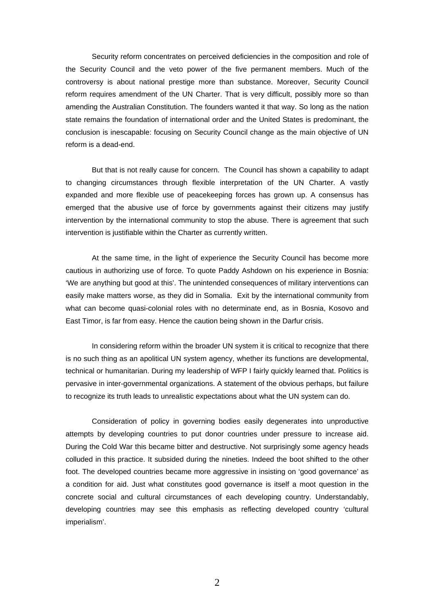Security reform concentrates on perceived deficiencies in the composition and role of the Security Council and the veto power of the five permanent members. Much of the controversy is about national prestige more than substance. Moreover, Security Council reform requires amendment of the UN Charter. That is very difficult, possibly more so than amending the Australian Constitution. The founders wanted it that way. So long as the nation state remains the foundation of international order and the United States is predominant, the conclusion is inescapable: focusing on Security Council change as the main objective of UN reform is a dead-end.

But that is not really cause for concern. The Council has shown a capability to adapt to changing circumstances through flexible interpretation of the UN Charter. A vastly expanded and more flexible use of peacekeeping forces has grown up. A consensus has emerged that the abusive use of force by governments against their citizens may justify intervention by the international community to stop the abuse. There is agreement that such intervention is justifiable within the Charter as currently written.

At the same time, in the light of experience the Security Council has become more cautious in authorizing use of force. To quote Paddy Ashdown on his experience in Bosnia: 'We are anything but good at this'. The unintended consequences of military interventions can easily make matters worse, as they did in Somalia. Exit by the international community from what can become quasi-colonial roles with no determinate end, as in Bosnia, Kosovo and East Timor, is far from easy. Hence the caution being shown in the Darfur crisis.

In considering reform within the broader UN system it is critical to recognize that there is no such thing as an apolitical UN system agency, whether its functions are developmental, technical or humanitarian. During my leadership of WFP I fairly quickly learned that. Politics is pervasive in inter-governmental organizations. A statement of the obvious perhaps, but failure to recognize its truth leads to unrealistic expectations about what the UN system can do.

Consideration of policy in governing bodies easily degenerates into unproductive attempts by developing countries to put donor countries under pressure to increase aid. During the Cold War this became bitter and destructive. Not surprisingly some agency heads colluded in this practice. It subsided during the nineties. Indeed the boot shifted to the other foot. The developed countries became more aggressive in insisting on 'good governance' as a condition for aid. Just what constitutes good governance is itself a moot question in the concrete social and cultural circumstances of each developing country. Understandably, developing countries may see this emphasis as reflecting developed country 'cultural imperialism'.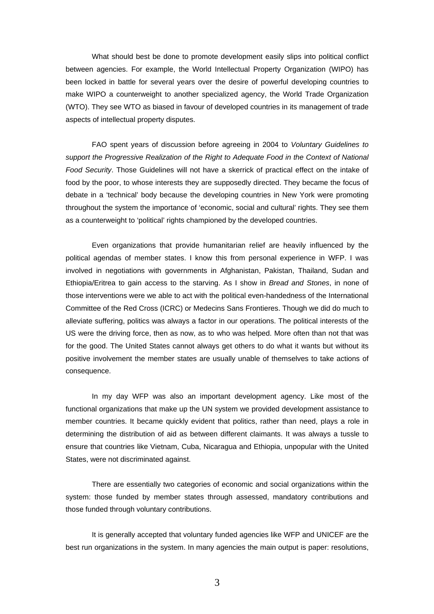What should best be done to promote development easily slips into political conflict between agencies. For example, the World Intellectual Property Organization (WIPO) has been locked in battle for several years over the desire of powerful developing countries to make WIPO a counterweight to another specialized agency, the World Trade Organization (WTO). They see WTO as biased in favour of developed countries in its management of trade aspects of intellectual property disputes.

FAO spent years of discussion before agreeing in 2004 to *Voluntary Guidelines to support the Progressive Realization of the Right to Adequate Food in the Context of National Food Security*. Those Guidelines will not have a skerrick of practical effect on the intake of food by the poor, to whose interests they are supposedly directed. They became the focus of debate in a 'technical' body because the developing countries in New York were promoting throughout the system the importance of 'economic, social and cultural' rights. They see them as a counterweight to 'political' rights championed by the developed countries.

Even organizations that provide humanitarian relief are heavily influenced by the political agendas of member states. I know this from personal experience in WFP. I was involved in negotiations with governments in Afghanistan, Pakistan, Thailand, Sudan and Ethiopia/Eritrea to gain access to the starving. As I show in *Bread and Stones*, in none of those interventions were we able to act with the political even-handedness of the International Committee of the Red Cross (ICRC) or Medecins Sans Frontieres. Though we did do much to alleviate suffering, politics was always a factor in our operations. The political interests of the US were the driving force, then as now, as to who was helped. More often than not that was for the good. The United States cannot always get others to do what it wants but without its positive involvement the member states are usually unable of themselves to take actions of consequence.

In my day WFP was also an important development agency. Like most of the functional organizations that make up the UN system we provided development assistance to member countries. It became quickly evident that politics, rather than need, plays a role in determining the distribution of aid as between different claimants. It was always a tussle to ensure that countries like Vietnam, Cuba, Nicaragua and Ethiopia, unpopular with the United States, were not discriminated against.

There are essentially two categories of economic and social organizations within the system: those funded by member states through assessed, mandatory contributions and those funded through voluntary contributions.

It is generally accepted that voluntary funded agencies like WFP and UNICEF are the best run organizations in the system. In many agencies the main output is paper: resolutions,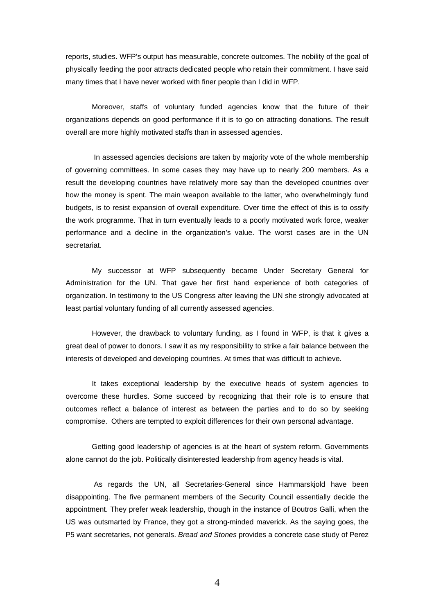reports, studies. WFP's output has measurable, concrete outcomes. The nobility of the goal of physically feeding the poor attracts dedicated people who retain their commitment. I have said many times that I have never worked with finer people than I did in WFP.

Moreover, staffs of voluntary funded agencies know that the future of their organizations depends on good performance if it is to go on attracting donations. The result overall are more highly motivated staffs than in assessed agencies.

 In assessed agencies decisions are taken by majority vote of the whole membership of governing committees. In some cases they may have up to nearly 200 members. As a result the developing countries have relatively more say than the developed countries over how the money is spent. The main weapon available to the latter, who overwhelmingly fund budgets, is to resist expansion of overall expenditure. Over time the effect of this is to ossify the work programme. That in turn eventually leads to a poorly motivated work force, weaker performance and a decline in the organization's value. The worst cases are in the UN secretariat.

My successor at WFP subsequently became Under Secretary General for Administration for the UN. That gave her first hand experience of both categories of organization. In testimony to the US Congress after leaving the UN she strongly advocated at least partial voluntary funding of all currently assessed agencies.

However, the drawback to voluntary funding, as I found in WFP, is that it gives a great deal of power to donors. I saw it as my responsibility to strike a fair balance between the interests of developed and developing countries. At times that was difficult to achieve.

It takes exceptional leadership by the executive heads of system agencies to overcome these hurdles. Some succeed by recognizing that their role is to ensure that outcomes reflect a balance of interest as between the parties and to do so by seeking compromise. Others are tempted to exploit differences for their own personal advantage.

Getting good leadership of agencies is at the heart of system reform. Governments alone cannot do the job. Politically disinterested leadership from agency heads is vital.

 As regards the UN, all Secretaries-General since Hammarskjold have been disappointing. The five permanent members of the Security Council essentially decide the appointment. They prefer weak leadership, though in the instance of Boutros Galli, when the US was outsmarted by France, they got a strong-minded maverick. As the saying goes, the P5 want secretaries, not generals. *Bread and Stones* provides a concrete case study of Perez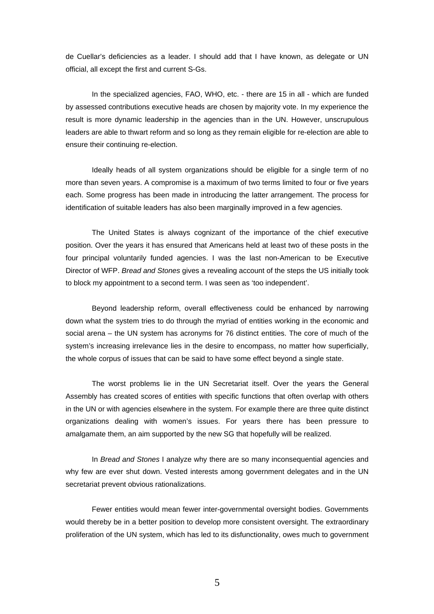de Cuellar's deficiencies as a leader. I should add that I have known, as delegate or UN official, all except the first and current S-Gs.

In the specialized agencies, FAO, WHO, etc. - there are 15 in all - which are funded by assessed contributions executive heads are chosen by majority vote. In my experience the result is more dynamic leadership in the agencies than in the UN. However, unscrupulous leaders are able to thwart reform and so long as they remain eligible for re-election are able to ensure their continuing re-election.

Ideally heads of all system organizations should be eligible for a single term of no more than seven years. A compromise is a maximum of two terms limited to four or five years each. Some progress has been made in introducing the latter arrangement. The process for identification of suitable leaders has also been marginally improved in a few agencies.

The United States is always cognizant of the importance of the chief executive position. Over the years it has ensured that Americans held at least two of these posts in the four principal voluntarily funded agencies. I was the last non-American to be Executive Director of WFP. *Bread and Stones* gives a revealing account of the steps the US initially took to block my appointment to a second term. I was seen as 'too independent'.

Beyond leadership reform, overall effectiveness could be enhanced by narrowing down what the system tries to do through the myriad of entities working in the economic and social arena – the UN system has acronyms for 76 distinct entities. The core of much of the system's increasing irrelevance lies in the desire to encompass, no matter how superficially, the whole corpus of issues that can be said to have some effect beyond a single state.

The worst problems lie in the UN Secretariat itself. Over the years the General Assembly has created scores of entities with specific functions that often overlap with others in the UN or with agencies elsewhere in the system. For example there are three quite distinct organizations dealing with women's issues. For years there has been pressure to amalgamate them, an aim supported by the new SG that hopefully will be realized.

In *Bread and Stones* I analyze why there are so many inconsequential agencies and why few are ever shut down. Vested interests among government delegates and in the UN secretariat prevent obvious rationalizations.

Fewer entities would mean fewer inter-governmental oversight bodies. Governments would thereby be in a better position to develop more consistent oversight. The extraordinary proliferation of the UN system, which has led to its disfunctionality, owes much to government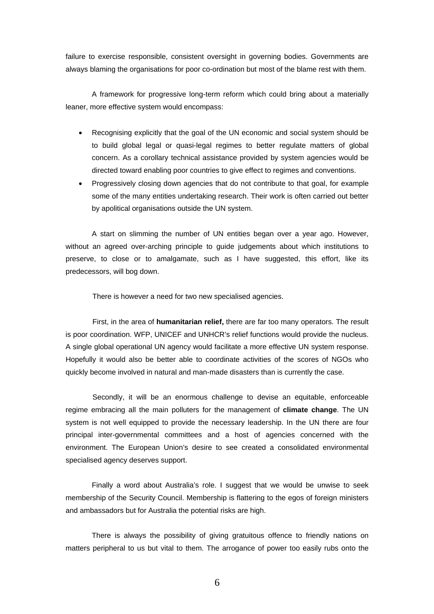failure to exercise responsible, consistent oversight in governing bodies. Governments are always blaming the organisations for poor co-ordination but most of the blame rest with them.

A framework for progressive long-term reform which could bring about a materially leaner, more effective system would encompass:

- Recognising explicitly that the goal of the UN economic and social system should be to build global legal or quasi-legal regimes to better regulate matters of global concern. As a corollary technical assistance provided by system agencies would be directed toward enabling poor countries to give effect to regimes and conventions.
- Progressively closing down agencies that do not contribute to that goal, for example some of the many entities undertaking research. Their work is often carried out better by apolitical organisations outside the UN system.

A start on slimming the number of UN entities began over a year ago. However, without an agreed over-arching principle to guide judgements about which institutions to preserve, to close or to amalgamate, such as I have suggested, this effort, like its predecessors, will bog down.

There is however a need for two new specialised agencies.

First, in the area of **humanitarian relief,** there are far too many operators. The result is poor coordination. WFP, UNICEF and UNHCR's relief functions would provide the nucleus. A single global operational UN agency would facilitate a more effective UN system response. Hopefully it would also be better able to coordinate activities of the scores of NGOs who quickly become involved in natural and man-made disasters than is currently the case.

Secondly, it will be an enormous challenge to devise an equitable, enforceable regime embracing all the main polluters for the management of **climate change**. The UN system is not well equipped to provide the necessary leadership. In the UN there are four principal inter-governmental committees and a host of agencies concerned with the environment. The European Union's desire to see created a consolidated environmental specialised agency deserves support.

Finally a word about Australia's role. I suggest that we would be unwise to seek membership of the Security Council. Membership is flattering to the egos of foreign ministers and ambassadors but for Australia the potential risks are high.

There is always the possibility of giving gratuitous offence to friendly nations on matters peripheral to us but vital to them. The arrogance of power too easily rubs onto the